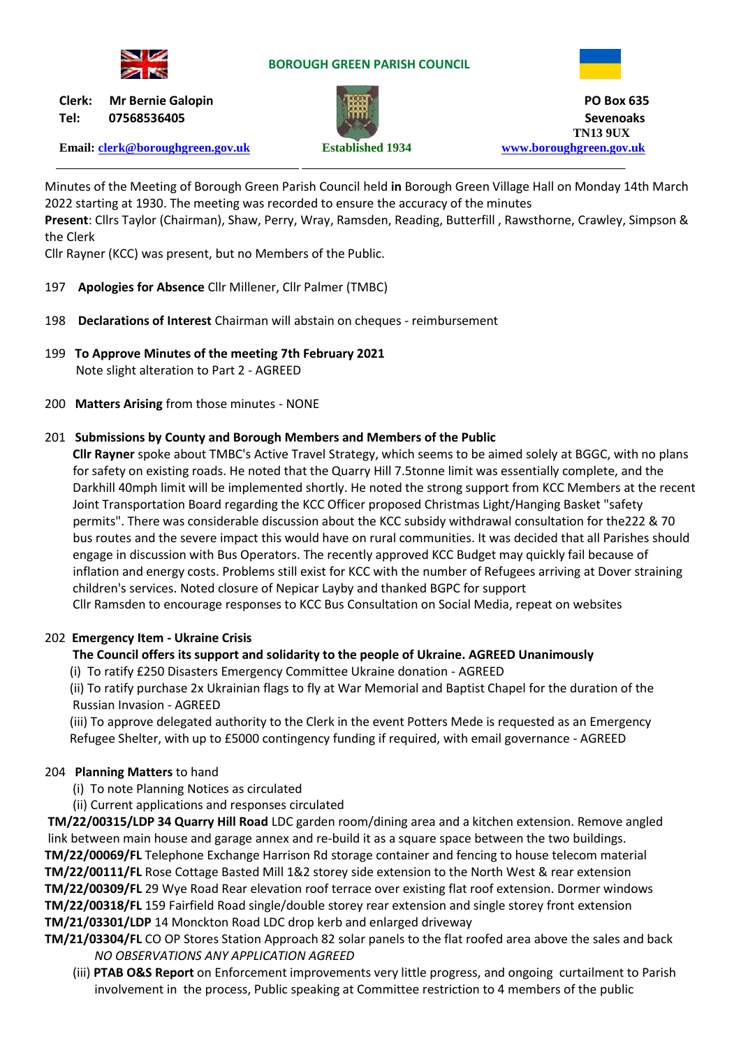

### **BOROUGH GREEN PARISH COUNCIL**



**Tel: 07568536405 Sevenoaks**

**Email: [clerk@boroughgreen.gov.uk](mailto:clerk@boroughgreen.gov.uk) Established 1934 [www.boroughgreen.gov.uk](http://www.boroughgreen.gov.uk/)**



**Clerk: Mr Bernie Galopin PO Box 635 TN13 9UX**

Minutes of the Meeting of Borough Green Parish Council held **in** Borough Green Village Hall on Monday 14th March 2022 starting at 1930. The meeting was recorded to ensure the accuracy of the minutes **Present**: Cllrs Taylor (Chairman), Shaw, Perry, Wray, Ramsden, Reading, Butterfill , Rawsthorne, Crawley, Simpson & the Clerk

Cllr Rayner (KCC) was present, but no Members of the Public.

- 197 **Apologies for Absence** Cllr Millener, Cllr Palmer (TMBC)
- 198 **Declarations of Interest** Chairman will abstain on cheques reimbursement
- 199 **To Approve Minutes of the meeting 7th February 2021** Note slight alteration to Part 2 - AGREED
- 200 **Matters Arising** from those minutes NONE

# 201 **Submissions by County and Borough Members and Members of the Public**

 **Cllr Rayner** spoke about TMBC's Active Travel Strategy, which seems to be aimed solely at BGGC, with no plans for safety on existing roads. He noted that the Quarry Hill 7.5tonne limit was essentially complete, and the Darkhill 40mph limit will be implemented shortly. He noted the strong support from KCC Members at the recent Joint Transportation Board regarding the KCC Officer proposed Christmas Light/Hanging Basket "safety permits". There was considerable discussion about the KCC subsidy withdrawal consultation for the222 & 70 bus routes and the severe impact this would have on rural communities. It was decided that all Parishes should engage in discussion with Bus Operators. The recently approved KCC Budget may quickly fail because of inflation and energy costs. Problems still exist for KCC with the number of Refugees arriving at Dover straining children's services. Noted closure of Nepicar Layby and thanked BGPC for support

Cllr Ramsden to encourage responses to KCC Bus Consultation on Social Media, repeat on websites

# 202 **Emergency Item - Ukraine Crisis**

# **The Council offers its support and solidarity to the people of Ukraine. AGREED Unanimously**

- (i) To ratify £250 Disasters Emergency Committee Ukraine donation AGREED
- (ii) To ratify purchase 2x Ukrainian flags to fly at War Memorial and Baptist Chapel for the duration of the Russian Invasion - AGREED

 (iii) To approve delegated authority to the Clerk in the event Potters Mede is requested as an Emergency Refugee Shelter, with up to £5000 contingency funding if required, with email governance - AGREED

# 204 **Planning Matters** to hand

- (i) To note Planning Notices as circulated
- (ii) Current applications and responses circulated

**TM/22/00315/LDP 34 Quarry Hill Road** LDC garden room/dining area and a kitchen extension. Remove angled link between main house and garage annex and re-build it as a square space between the two buildings. **TM/22/00069/FL** Telephone Exchange Harrison Rd storage container and fencing to house telecom material **TM/22/00111/FL** Rose Cottage Basted Mill 1&2 storey side extension to the North West & rear extension **TM/22/00309/FL** 29 Wye Road Rear elevation roof terrace over existing flat roof extension. Dormer windows **TM/22/00318/FL** 159 Fairfield Road single/double storey rear extension and single storey front extension **TM/21/03301/LDP** 14 Monckton Road LDC drop kerb and enlarged driveway

- **TM/21/03304/FL** CO OP Stores Station Approach 82 solar panels to the flat roofed area above the sales and back *NO OBSERVATIONS ANY APPLICATION AGREED*
	- (iii) **PTAB O&S Report** on Enforcement improvements very little progress, and ongoing curtailment to Parish involvement in the process, Public speaking at Committee restriction to 4 members of the public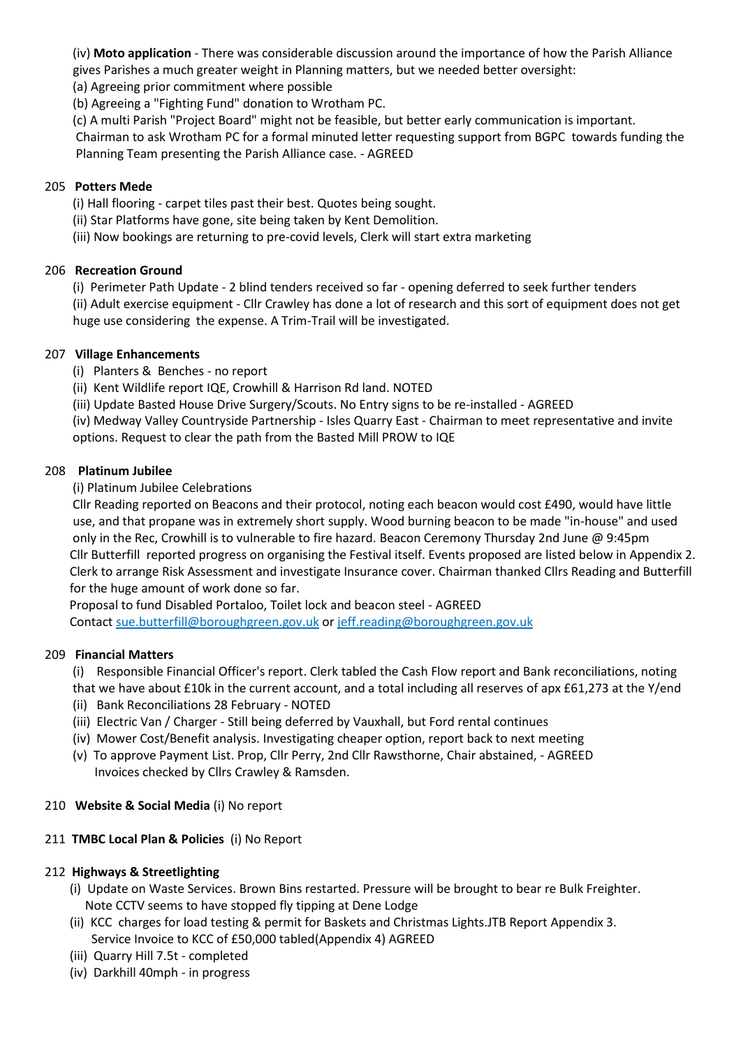(iv) **Moto application** - There was considerable discussion around the importance of how the Parish Alliance gives Parishes a much greater weight in Planning matters, but we needed better oversight:

(a) Agreeing prior commitment where possible

(b) Agreeing a "Fighting Fund" donation to Wrotham PC.

(c) A multi Parish "Project Board" might not be feasible, but better early communication is important.

 Chairman to ask Wrotham PC for a formal minuted letter requesting support from BGPC towards funding the Planning Team presenting the Parish Alliance case. - AGREED

### 205 **Potters Mede**

(i) Hall flooring - carpet tiles past their best. Quotes being sought.

- (ii) Star Platforms have gone, site being taken by Kent Demolition.
- (iii) Now bookings are returning to pre-covid levels, Clerk will start extra marketing

### 206 **Recreation Ground**

 (i) Perimeter Path Update - 2 blind tenders received so far - opening deferred to seek further tenders (ii) Adult exercise equipment - Cllr Crawley has done a lot of research and this sort of equipment does not get huge use considering the expense. A Trim-Trail will be investigated.

### 207 **Village Enhancements**

- (i) Planters & Benches no report
- (ii) Kent Wildlife report IQE, Crowhill & Harrison Rd land. NOTED
- (iii) Update Basted House Drive Surgery/Scouts. No Entry signs to be re-installed AGREED

 (iv) Medway Valley Countryside Partnership - Isles Quarry East - Chairman to meet representative and invite options. Request to clear the path from the Basted Mill PROW to IQE

### 208 **Platinum Jubilee**

(i) Platinum Jubilee Celebrations

 Cllr Reading reported on Beacons and their protocol, noting each beacon would cost £490, would have little use, and that propane was in extremely short supply. Wood burning beacon to be made "in-house" and used only in the Rec, Crowhill is to vulnerable to fire hazard. Beacon Ceremony Thursday 2nd June @ 9:45pm Cllr Butterfill reported progress on organising the Festival itself. Events proposed are listed below in Appendix 2. Clerk to arrange Risk Assessment and investigate Insurance cover. Chairman thanked Cllrs Reading and Butterfill for the huge amount of work done so far.

 Proposal to fund Disabled Portaloo, Toilet lock and beacon steel - AGREED Contact sue.butterfill@boroughgreen.gov.uk or jeff.reading@boroughgreen.gov.uk

### 209 **Financial Matters**

 (i) Responsible Financial Officer's report. Clerk tabled the Cash Flow report and Bank reconciliations, noting that we have about £10k in the current account, and a total including all reserves of apx £61,273 at the Y/end

- (ii) Bank Reconciliations 28 February NOTED
- (iii) Electric Van / Charger Still being deferred by Vauxhall, but Ford rental continues
- (iv) Mower Cost/Benefit analysis. Investigating cheaper option, report back to next meeting
- (v) To approve Payment List. Prop, Cllr Perry, 2nd Cllr Rawsthorne, Chair abstained, AGREED Invoices checked by Cllrs Crawley & Ramsden.
- 210 **Website & Social Media** (i) No report

# 211 **TMBC Local Plan & Policies** (i) No Report

### 212 **Highways & Streetlighting**

- (i) Update on Waste Services. Brown Bins restarted. Pressure will be brought to bear re Bulk Freighter. Note CCTV seems to have stopped fly tipping at Dene Lodge
- (ii) KCC charges for load testing & permit for Baskets and Christmas Lights.JTB Report Appendix 3. Service Invoice to KCC of £50,000 tabled(Appendix 4) AGREED
- (iii) Quarry Hill 7.5t completed
- (iv) Darkhill 40mph in progress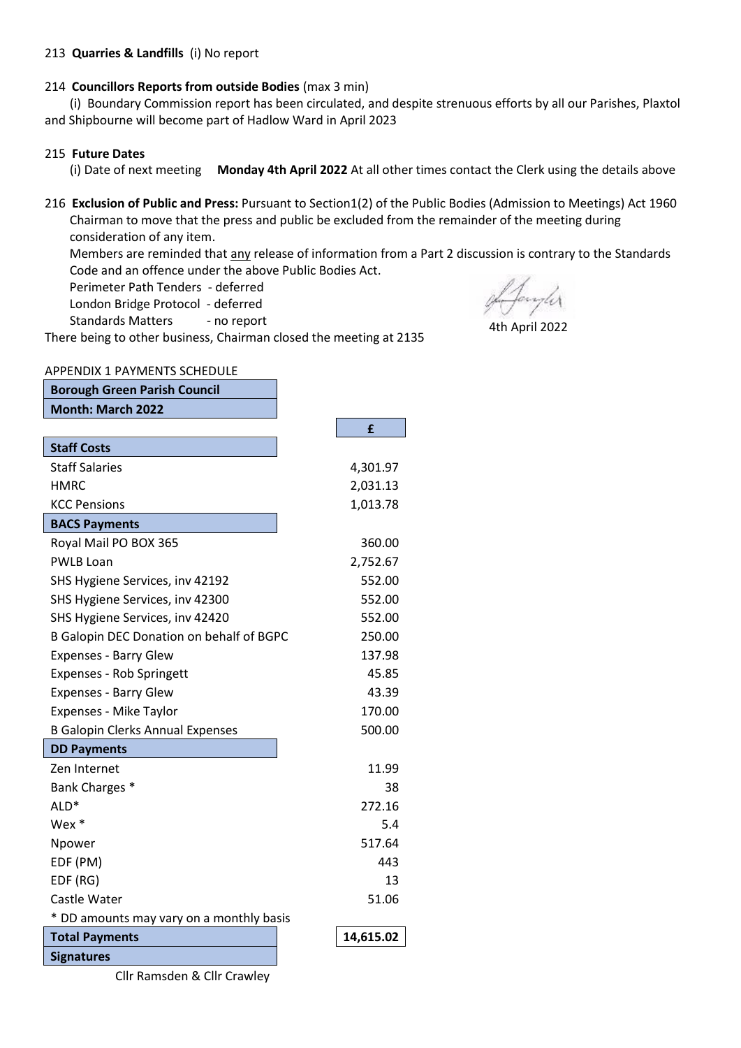#### 213 **Quarries & Landfills** (i) No report

#### 214 **Councillors Reports from outside Bodies** (max 3 min)

 (i) Boundary Commission report has been circulated, and despite strenuous efforts by all our Parishes, Plaxtol and Shipbourne will become part of Hadlow Ward in April 2023

#### 215 **Future Dates**

(i) Date of next meeting **Monday 4th April 2022** At all other times contact the Clerk using the details above

216 **Exclusion of Public and Press:** Pursuant to Section1(2) of the Public Bodies (Admission to Meetings) Act 1960 Chairman to move that the press and public be excluded from the remainder of the meeting during consideration of any item.

 Members are reminded that any release of information from a Part 2 discussion is contrary to the Standards Code and an offence under the above Public Bodies Act.

Perimeter Path Tenders - deferred

London Bridge Protocol - deferred

Standards Matters - no report

There being to other business, Chairman closed the meeting at 2135

of Janyler

4th April 2022

#### APPENDIX 1 PAYMENTS SCHEDULE

| <b>Borough Green Parish Council</b>      |           |
|------------------------------------------|-----------|
| <b>Month: March 2022</b>                 |           |
|                                          | £         |
| <b>Staff Costs</b>                       |           |
| <b>Staff Salaries</b>                    | 4,301.97  |
| HMRC                                     | 2,031.13  |
| <b>KCC Pensions</b>                      | 1,013.78  |
| <b>BACS Payments</b>                     |           |
| Royal Mail PO BOX 365                    | 360.00    |
| <b>PWLB Loan</b>                         | 2,752.67  |
| SHS Hygiene Services, inv 42192          | 552.00    |
| SHS Hygiene Services, inv 42300          | 552.00    |
| SHS Hygiene Services, inv 42420          | 552.00    |
| B Galopin DEC Donation on behalf of BGPC | 250.00    |
| <b>Expenses - Barry Glew</b>             | 137.98    |
| <b>Expenses - Rob Springett</b>          | 45.85     |
| <b>Expenses - Barry Glew</b>             | 43.39     |
| Expenses - Mike Taylor                   | 170.00    |
| <b>B Galopin Clerks Annual Expenses</b>  | 500.00    |
| <b>DD Payments</b>                       |           |
| Zen Internet                             | 11.99     |
| Bank Charges *                           | 38        |
| ALD*                                     | 272.16    |
| Wex *                                    | 5.4       |
| Npower                                   | 517.64    |
| EDF (PM)                                 | 443       |
| EDF (RG)                                 | 13        |
| Castle Water                             | 51.06     |
| * DD amounts may vary on a monthly basis |           |
| <b>Total Payments</b>                    | 14,615.02 |
| <b>Signatures</b>                        |           |

Cllr Ramsden & Cllr Crawley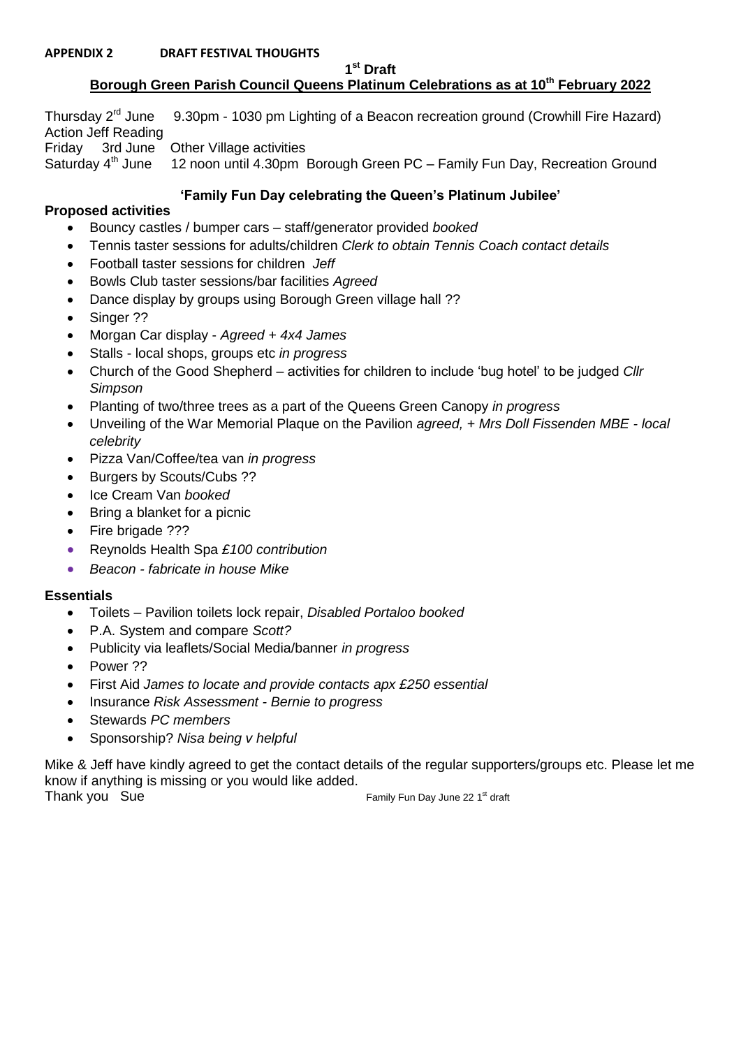#### **APPENDIX 2 DRAFT FESTIVAL THOUGHTS**

**1 st Draft**

# **Borough Green Parish Council Queens Platinum Celebrations as at 10th February 2022**

Thursday  $2^{rd}$  June 9.30pm - 1030 pm Lighting of a Beacon recreation ground (Crowhill Fire Hazard) Action Jeff Reading Friday 3rd June Other Village activities<br>Saturday 4<sup>th</sup> June 12 noon until 4.30pm 12 noon until 4.30pm Borough Green PC – Family Fun Day, Recreation Ground

# **'Family Fun Day celebrating the Queen's Platinum Jubilee'**

### **Proposed activities**

- Bouncy castles / bumper cars staff/generator provided *booked*
- Tennis taster sessions for adults/children *Clerk to obtain Tennis Coach contact details*
- Football taster sessions for children *Jeff*
- Bowls Club taster sessions/bar facilities *Agreed*
- Dance display by groups using Borough Green village hall ??
- Singer ??
- Morgan Car display *Agreed + 4x4 James*
- Stalls local shops, groups etc *in progress*
- Church of the Good Shepherd activities for children to include 'bug hotel' to be judged *Cllr Simpson*
- Planting of two/three trees as a part of the Queens Green Canopy *in progress*
- Unveiling of the War Memorial Plaque on the Pavilion *agreed, + Mrs Doll Fissenden MBE - local celebrity*
- Pizza Van/Coffee/tea van *in progress*
- Burgers by Scouts/Cubs ??
- Ice Cream Van *booked*
- Bring a blanket for a picnic
- Fire brigade ???
- Reynolds Health Spa *£100 contribution*
- *Beacon - fabricate in house Mike*

# **Essentials**

- Toilets Pavilion toilets lock repair, *Disabled Portaloo booked*
- P.A. System and compare *Scott?*
- Publicity via leaflets/Social Media/banner *in progress*
- Power ??
- First Aid *James to locate and provide contacts apx £250 essential*
- Insurance *Risk Assessment - Bernie to progress*
- Stewards *PC members*
- Sponsorship? *Nisa being v helpful*

Mike & Jeff have kindly agreed to get the contact details of the regular supporters/groups etc. Please let me know if anything is missing or you would like added.

Thank you Sue **Family Fun Day June 22 1<sup>st</sup> draft**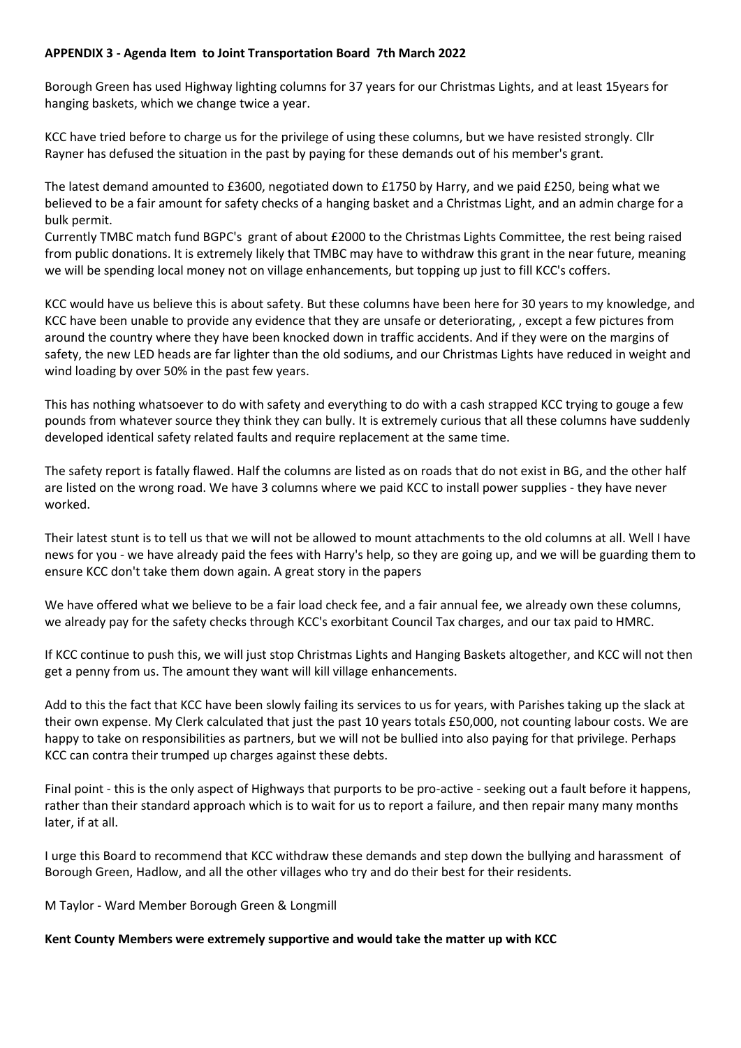### **APPENDIX 3 - Agenda Item to Joint Transportation Board 7th March 2022**

Borough Green has used Highway lighting columns for 37 years for our Christmas Lights, and at least 15years for hanging baskets, which we change twice a year.

KCC have tried before to charge us for the privilege of using these columns, but we have resisted strongly. Cllr Rayner has defused the situation in the past by paying for these demands out of his member's grant.

The latest demand amounted to £3600, negotiated down to £1750 by Harry, and we paid £250, being what we believed to be a fair amount for safety checks of a hanging basket and a Christmas Light, and an admin charge for a bulk permit.

Currently TMBC match fund BGPC's grant of about £2000 to the Christmas Lights Committee, the rest being raised from public donations. It is extremely likely that TMBC may have to withdraw this grant in the near future, meaning we will be spending local money not on village enhancements, but topping up just to fill KCC's coffers.

KCC would have us believe this is about safety. But these columns have been here for 30 years to my knowledge, and KCC have been unable to provide any evidence that they are unsafe or deteriorating, , except a few pictures from around the country where they have been knocked down in traffic accidents. And if they were on the margins of safety, the new LED heads are far lighter than the old sodiums, and our Christmas Lights have reduced in weight and wind loading by over 50% in the past few years.

This has nothing whatsoever to do with safety and everything to do with a cash strapped KCC trying to gouge a few pounds from whatever source they think they can bully. It is extremely curious that all these columns have suddenly developed identical safety related faults and require replacement at the same time.

The safety report is fatally flawed. Half the columns are listed as on roads that do not exist in BG, and the other half are listed on the wrong road. We have 3 columns where we paid KCC to install power supplies - they have never worked.

Their latest stunt is to tell us that we will not be allowed to mount attachments to the old columns at all. Well I have news for you - we have already paid the fees with Harry's help, so they are going up, and we will be guarding them to ensure KCC don't take them down again. A great story in the papers

We have offered what we believe to be a fair load check fee, and a fair annual fee, we already own these columns, we already pay for the safety checks through KCC's exorbitant Council Tax charges, and our tax paid to HMRC.

If KCC continue to push this, we will just stop Christmas Lights and Hanging Baskets altogether, and KCC will not then get a penny from us. The amount they want will kill village enhancements.

Add to this the fact that KCC have been slowly failing its services to us for years, with Parishes taking up the slack at their own expense. My Clerk calculated that just the past 10 years totals £50,000, not counting labour costs. We are happy to take on responsibilities as partners, but we will not be bullied into also paying for that privilege. Perhaps KCC can contra their trumped up charges against these debts.

Final point - this is the only aspect of Highways that purports to be pro-active - seeking out a fault before it happens, rather than their standard approach which is to wait for us to report a failure, and then repair many many months later, if at all.

I urge this Board to recommend that KCC withdraw these demands and step down the bullying and harassment of Borough Green, Hadlow, and all the other villages who try and do their best for their residents.

M Taylor - Ward Member Borough Green & Longmill

### **Kent County Members were extremely supportive and would take the matter up with KCC**